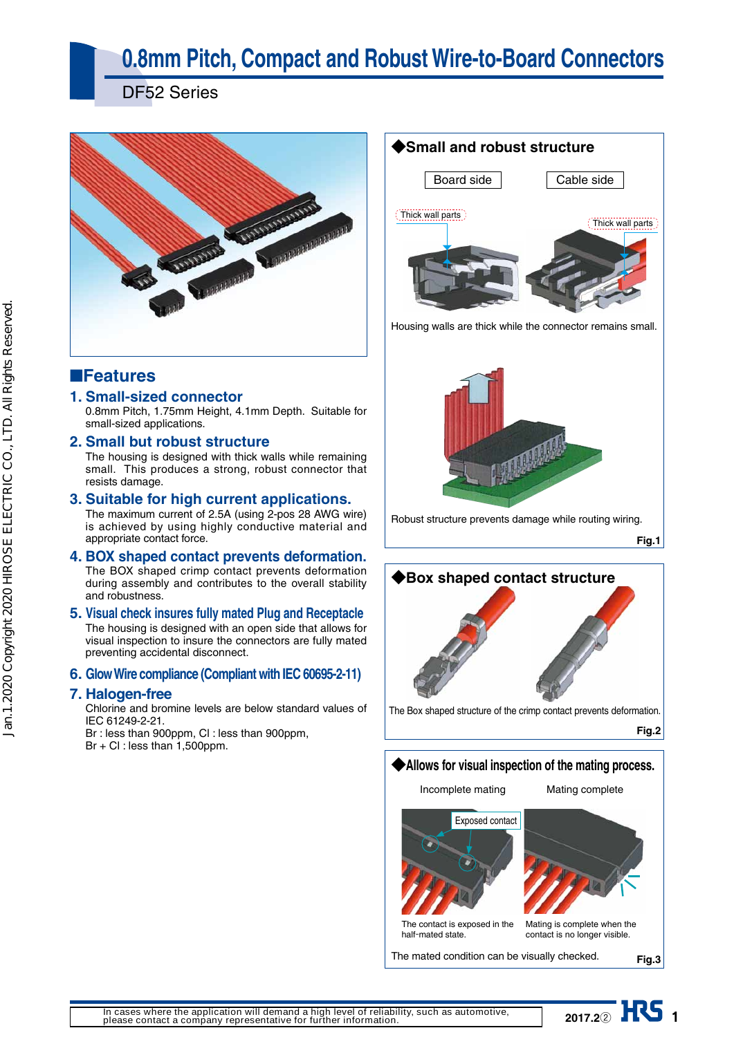# **0.8mm Pitch, Compact and Robust Wire-to-Board Connectors**

DF52 Series



# ■**Features**

## **1. Small-sized connector**

0.8mm Pitch, 1.75mm Height, 4.1mm Depth. Suitable for small-sized applications.

### **2. Small but robust structure**

The housing is designed with thick walls while remaining small. This produces a strong, robust connector that resists damage.

### **3. Suitable for high current applications.**

The maximum current of 2.5A (using 2-pos 28 AWG wire) is achieved by using highly conductive material and appropriate contact force.

### **4. BOX shaped contact prevents deformation.**

The BOX shaped crimp contact prevents deformation during assembly and contributes to the overall stability and robustness.

# **5. Visual check insures fully mated Plug and Receptacle**

The housing is designed with an open side that allows for visual inspection to insure the connectors are fully mated preventing accidental disconnect.

### **6. Glow Wire compliance (Compliant with IEC 60695-2-11)**

### **7. Halogen-free**

Chlorine and bromine levels are below standard values of IEC 61249-2-21.

Br : less than 900ppm, Cl : less than 900ppm,

Br + Cl : less than 1,500ppm.

# **◆Small and robust structure**

Board side





Housing walls are thick while the connector remains small.



Robust structure prevents damage while routing wiring.

**Fig.1**



## **◆Allows for visual inspection of the mating process.**

Incomplete mating

Mating complete



**2017.22 HRS** 1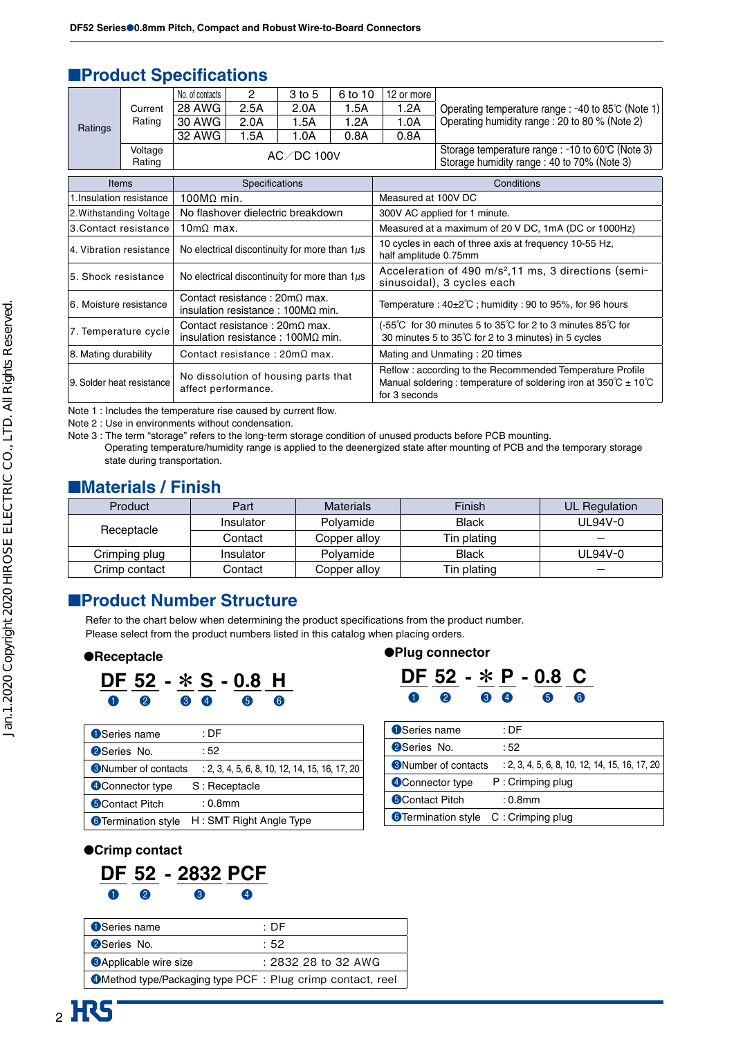# ■**Product Specifications**

|         |         | No. of contacts |      | 3 to 5     | 6 to 10 | 12 or more |                                                    |
|---------|---------|-----------------|------|------------|---------|------------|----------------------------------------------------|
|         | Current | 28 AWG          | 2.5A | 2.0A       | .5A     | 1.2A       | Operating temperature range : -40 to 85°C (Note 1) |
| Ratings | Rating  | 30 AWG          | 2.0A | .5A        | 1.2A    | 1.0A       | Operating humidity range: 20 to 80 % (Note 2)      |
|         |         | 32 AWG          | 1.5A | .0A        | 0.8A    | 0.8A       |                                                    |
|         | Voltage |                 |      | AC/DC 100V |         |            | Storage temperature range : -10 to 60°C (Note 3)   |
|         | Rating  |                 |      |            |         |            | Storage humidity range: 40 to 70% (Note 3)         |
|         |         |                 |      |            |         |            |                                                    |

| <b>Items</b>              | Specifications                                                                        | Conditions                                                                                                                                                                   |
|---------------------------|---------------------------------------------------------------------------------------|------------------------------------------------------------------------------------------------------------------------------------------------------------------------------|
| 1. Insulation resistance  | $100MQ$ min.                                                                          | Measured at 100V DC                                                                                                                                                          |
| 2. Withstanding Voltage   | No flashover dielectric breakdown                                                     | 300V AC applied for 1 minute.                                                                                                                                                |
| 3.Contact resistance l    | $10 \text{m}\Omega$ max.                                                              | Measured at a maximum of 20 V DC, 1mA (DC or 1000Hz)                                                                                                                         |
| 4. Vibration resistance l | No electrical discontinuity for more than $1\mu s$                                    | 10 cycles in each of three axis at frequency 10-55 Hz,<br>half amplitude 0.75mm                                                                                              |
| l5. Shock resistance      | No electrical discontinuity for more than $1\mu s$                                    | Acceleration of 490 m/s <sup>2</sup> ,11 ms, 3 directions (semi-<br>sinusoidal), 3 cycles each                                                                               |
| 6. Moisture resistance    | Contact resistance : $20 \text{mA}$ max.<br>insulation resistance : $100M\Omega$ min. | Temperature: $40\pm2\degree$ C; humidity: 90 to 95%, for 96 hours                                                                                                            |
| 7. Temperature cycle      | Contact resistance : $20 \text{mA}$ max.<br>insulation resistance: $100MQ$ min.       | (-55°C for 30 minutes 5 to 35°C for 2 to 3 minutes 85°C for<br>30 minutes 5 to 35°C for 2 to 3 minutes) in 5 cycles                                                          |
| 8. Mating durability      | Contact resistance: $20 \text{m}\Omega$ max.                                          | Mating and Unmating: 20 times                                                                                                                                                |
| 9. Solder heat resistance | No dissolution of housing parts that<br>affect performance.                           | Reflow: according to the Recommended Temperature Profile<br>Manual soldering: temperature of soldering iron at $350^{\circ}\text{C} \pm 10^{\circ}\text{C}$<br>for 3 seconds |

Note 1 : Includes the temperature rise caused by current flow.

Note 2 : Use in environments without condensation.

Note 3 : The term "storage" refers to the long-term storage condition of unused products before PCB mounting. Operating temperature/humidity range is applied to the deenergized state after mounting of PCB and the temporary storage state during transportation.

## ■**Materials / Finish**

| Product       | Finish<br><b>Materials</b><br>Part |                           | UL Regulation |           |
|---------------|------------------------------------|---------------------------|---------------|-----------|
|               | Insulator                          | <b>Black</b><br>Polyamide |               | $UL94V-0$ |
| Receptacle    | Contact                            | Copper alloy              | Tin plating   |           |
| Crimping plug | Insulator                          | Polvamide                 | <b>Black</b>  | $UL94V-0$ |
| Crimp contact | Contact                            | Copper alloy              | Tin plating   |           |

# ■**Product Number Structure**

Refer to the chart below when determining the product specifications from the product number. Please select from the product numbers listed in this catalog when placing orders.

#### ●**Receptacle**



| <b>O</b> Series name        | : DF                                             |
|-----------------------------|--------------------------------------------------|
| <b>2</b> Series No.         | :52                                              |
| <b>B</b> Number of contacts | $: 2, 3, 4, 5, 6, 8, 10, 12, 14, 15, 16, 17, 20$ |
| 4 Connector type            | S: Receptacle                                    |
| <b>6</b> Contact Pitch      | $: 0.8$ mm                                       |
| <b>6</b> Termination style  | H: SMT Right Angle Type                          |

## ●**Plug connector**



| <b>O</b> Series name        | : DF                                             |
|-----------------------------|--------------------------------------------------|
| <b>2</b> Series No.         | :52                                              |
| <b>S</b> Number of contacts | $: 2, 3, 4, 5, 6, 8, 10, 12, 14, 15, 16, 17, 20$ |
| Connector type              | P: Crimping plug                                 |
| <b>S</b> Contact Pitch      | $: 0.8$ mm                                       |
| <b>O</b> Termination style  | C: Crimping plug                                 |

### ●**Crimp contact**

# **DF 52 - 2832 PCF** ❶❷ ❸ ❹

| <b>O</b> Series name                                       | ∶ DF                 |
|------------------------------------------------------------|----------------------|
| <b>2</b> Series No.                                        | :52                  |
| <b>SApplicable wire size</b>                               | $: 283228$ to 32 AWG |
| 4 Method type/Packaging type PCF: Plug crimp contact, reel |                      |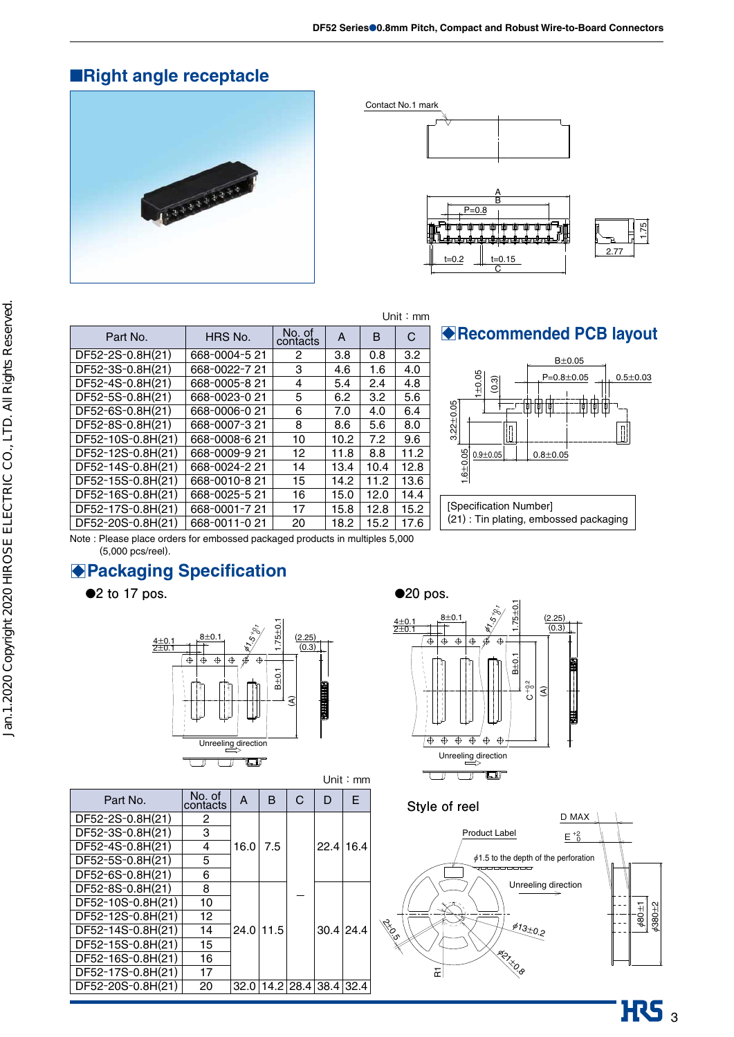# ■**Right angle receptacle**









|                   |               |                    |      |      | Unit: $mm$ |                 |
|-------------------|---------------|--------------------|------|------|------------|-----------------|
| Part No.          | HRS No.       | No. of<br>contacts | A    | B    | C          | ∤Re             |
| DF52-2S-0.8H(21)  | 668-0004-521  | 2                  | 3.8  | 0.8  | 3.2        |                 |
| DF52-3S-0.8H(21)  | 668-0022-721  | 3                  | 4.6  | 1.6  | 4.0        |                 |
| DF52-4S-0.8H(21)  | 668-0005-8 21 | 4                  | 5.4  | 2.4  | 4.8        |                 |
| DF52-5S-0.8H(21)  | 668-0023-0 21 | 5                  | 6.2  | 3.2  | 5.6        |                 |
| DF52-6S-0.8H(21)  | 668-0006-021  | 6                  | 7.0  | 4.0  | 6.4        | $2.22 \pm 0.05$ |
| DF52-8S-0.8H(21)  | 668-0007-321  | 8                  | 8.6  | 5.6  | 8.0        |                 |
| DF52-10S-0.8H(21) | 668-0008-621  | 10                 | 10.2 | 7.2  | 9.6        |                 |
| DF52-12S-0.8H(21) | 668-0009-921  | 12                 | 11.8 | 8.8  | 11.2       |                 |
| DF52-14S-0.8H(21) | 668-0024-221  | 14                 | 13.4 | 10.4 | 12.8       | $1.6 + 0.05$    |
| DF52-15S-0.8H(21) | 668-0010-821  | 15                 | 14.2 | 11.2 | 13.6       |                 |
| DF52-16S-0.8H(21) | 668-0025-521  | 16                 | 15.0 | 12.0 | 14.4       |                 |
|                   |               |                    |      |      |            |                 |

# B**Recommended PCB layout**



DF52-20S-0.8H(21) 668-0011-0 21 20 18.2 15.2 17.6 Note : Please place orders for embossed packaged products in multiples 5,000 (5,000 pcs/reel).

DF52-17S-0.8H(21) | 668-0001-7 21 | 17 | 15.8 | 12.8 | 15.2

# **Packaging Specification**

●**2** to 17 pos.



Unit:mm

| Part No.          | No. of<br>contacts | A            | B   | D                        | F |
|-------------------|--------------------|--------------|-----|--------------------------|---|
| DF52-2S-0.8H(21)  | 2                  |              |     |                          |   |
| DF52-3S-0.8H(21)  | 3                  |              |     |                          |   |
| DF52-4S-0.8H(21)  | 4                  | 16.0         | 7.5 | 22.4 16.4                |   |
| DF52-5S-0.8H(21)  | 5                  |              |     |                          |   |
| DF52-6S-0.8H(21)  | 6                  |              |     |                          |   |
| DF52-8S-0.8H(21)  | 8                  |              |     |                          |   |
| DF52-10S-0.8H(21) | 10                 |              |     |                          |   |
| DF52-12S-0.8H(21) | 12                 |              |     |                          |   |
| DF52-14S-0.8H(21) | 14                 | $24.0$  11.5 |     | $30.4$ 24.4              |   |
| DF52-15S-0.8H(21) | 15                 |              |     |                          |   |
| DF52-16S-0.8H(21) | 16                 |              |     |                          |   |
| DF52-17S-0.8H(21) | 17                 |              |     |                          |   |
| DF52-20S-0.8H(21) | 20                 |              |     | 32.0 14.2 28.4 38.4 32.4 |   |



**Style of reel**



 $\overline{\text{HS}}_3$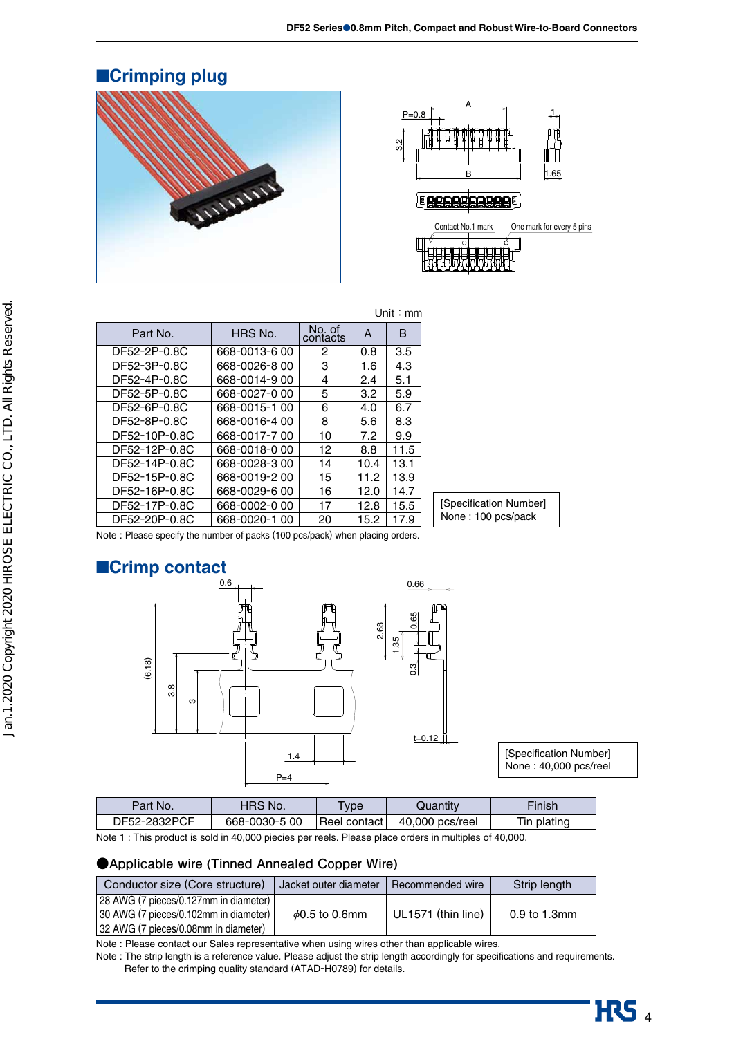# ■**Crimping plug**





| Part No.      | HRS No.       | No. of<br>contacts | A    | в    |  |
|---------------|---------------|--------------------|------|------|--|
| DF52-2P-0.8C  | 668-0013-6 00 | 2                  | 0.8  | 3.5  |  |
| DF52-3P-0.8C  | 668-0026-800  | 3                  | 1.6  | 4.3  |  |
| DF52-4P-0.8C  | 668-0014-9 00 | 4                  | 2.4  | 5.1  |  |
| DF52-5P-0.8C  | 668-0027-0 00 | 5                  | 3.2  | 5.9  |  |
| DF52-6P-0.8C  | 668-0015-1 00 | 6                  | 4.0  | 6.7  |  |
| DF52-8P-0.8C  | 668-0016-400  | 8                  | 5.6  | 8.3  |  |
| DF52-10P-0.8C | 668-0017-700  | 10                 | 7.2  | 9.9  |  |
| DF52-12P-0.8C | 668-0018-000  | 12                 | 8.8  | 11.5 |  |
| DF52-14P-0.8C | 668-0028-300  | 14                 | 10.4 | 13.1 |  |
| DF52-15P-0.8C | 668-0019-200  | 15                 | 11.2 | 13.9 |  |
| DF52-16P-0.8C | 668-0029-6 00 | 16                 | 12.0 | 14.7 |  |
| DF52-17P-0.8C | 668-0002-000  | 17                 | 12.8 | 15.5 |  |



Note : Please specify the number of packs (100 pcs/pack) when placing orders.

DF52-20P-0.8C 668-0020-1 00 20 15.2 17.9



Unit:mm

| Part No.     | HRS No.       | <b>Type</b>     | Quantity        | Finish      |
|--------------|---------------|-----------------|-----------------|-------------|
| DF52-2832PCF | 668-0030-5 00 | ⊥Reel contact l | 40,000 pcs/reel | Tin plating |

Note 1 : This product is sold in 40,000 piecies per reels. Please place orders in multiples of 40,000.

### **●Applicable wire (Tinned Annealed Copper Wire)**

| Conductor size (Core structure)       | Jacket outer diameter | Recommended wire   | Strip length |
|---------------------------------------|-----------------------|--------------------|--------------|
| 28 AWG (7 pieces/0.127mm in diameter) |                       |                    |              |
| 30 AWG (7 pieces/0.102mm in diameter) | $\phi$ 0.5 to 0.6mm   | UL1571 (thin line) | 0.9 to 1.3mm |
| 32 AWG (7 pieces/0.08mm in diameter)  |                       |                    |              |

Note : Please contact our Sales representative when using wires other than applicable wires.

Note : The strip length is a reference value. Please adjust the strip length accordingly for specifications and requirements. Refer to the crimping quality standard (ATAD-H0789) for details.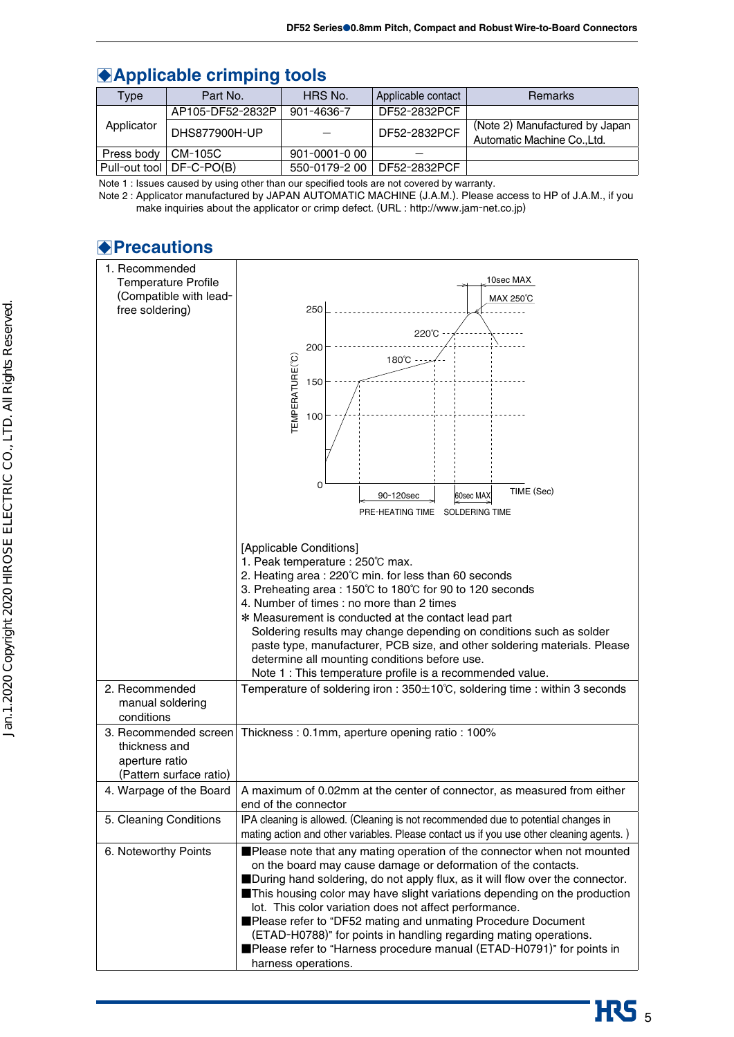# **Applicable crimping tools**

| Type       | Part No.                   | HRS No.       | Applicable contact | <b>Remarks</b>                                             |
|------------|----------------------------|---------------|--------------------|------------------------------------------------------------|
|            | AP105-DF52-2832P           | 901-4636-7    | DF52-2832PCF       |                                                            |
| Applicator | DHS877900H-UP              |               | DF52-2832PCF       | (Note 2) Manufactured by Japan<br>Automatic Machine CoLtd. |
| Press body | CM-105C                    | 901-0001-000  |                    |                                                            |
|            | Pull-out tool   DF-C-PO(B) | 550-0179-2 00 | DF52-2832PCF       |                                                            |

Note 1 : Issues caused by using other than our specified tools are not covered by warranty.

 Note 2 : Applicator manufactured by JAPAN AUTOMATIC MACHINE (J.A.M.). Please access to HP of J.A.M., if you make inquiries about the applicator or crimp defect. (URL : http://www.jam-net.co.jp)

# B**Precautions**

| 1. Recommended<br><b>Temperature Profile</b><br>(Compatible with lead-<br>free soldering) | 10sec MAX<br>MAX 250°C<br>250<br>220°C<br>200<br>TEMPERATURE(°C)<br>180°C<br>150<br>100                                                                                                                                                                                                                                                                                                                                                                                                                                                                                                                                            |
|-------------------------------------------------------------------------------------------|------------------------------------------------------------------------------------------------------------------------------------------------------------------------------------------------------------------------------------------------------------------------------------------------------------------------------------------------------------------------------------------------------------------------------------------------------------------------------------------------------------------------------------------------------------------------------------------------------------------------------------|
|                                                                                           | 0<br>TIME (Sec)<br>90-120sec<br>60sec MAX<br>PRE-HEATING TIME SOLDERING TIME                                                                                                                                                                                                                                                                                                                                                                                                                                                                                                                                                       |
| 2. Recommended<br>manual soldering<br>conditions                                          | [Applicable Conditions]<br>1. Peak temperature : 250°C max.<br>2. Heating area: 220°C min. for less than 60 seconds<br>3. Preheating area: 150°C to 180°C for 90 to 120 seconds<br>4. Number of times : no more than 2 times<br>* Measurement is conducted at the contact lead part<br>Soldering results may change depending on conditions such as solder<br>paste type, manufacturer, PCB size, and other soldering materials. Please<br>determine all mounting conditions before use.<br>Note 1 : This temperature profile is a recommended value.<br>Temperature of soldering iron: 350±10°C, soldering time: within 3 seconds |
| 3. Recommended screen<br>thickness and<br>aperture ratio<br>(Pattern surface ratio)       | Thickness: 0.1mm, aperture opening ratio: 100%                                                                                                                                                                                                                                                                                                                                                                                                                                                                                                                                                                                     |
| 4. Warpage of the Board                                                                   | A maximum of 0.02mm at the center of connector, as measured from either<br>end of the connector                                                                                                                                                                                                                                                                                                                                                                                                                                                                                                                                    |
| 5. Cleaning Conditions                                                                    | IPA cleaning is allowed. (Cleaning is not recommended due to potential changes in<br>mating action and other variables. Please contact us if you use other cleaning agents.)                                                                                                                                                                                                                                                                                                                                                                                                                                                       |
| 6. Noteworthy Points                                                                      | Please note that any mating operation of the connector when not mounted<br>on the board may cause damage or deformation of the contacts.<br>During hand soldering, do not apply flux, as it will flow over the connector.<br>This housing color may have slight variations depending on the production<br>lot. This color variation does not affect performance.<br>Please refer to "DF52 mating and unmating Procedure Document<br>(ETAD-H0788)" for points in handling regarding mating operations.<br>Please refer to "Harness procedure manual (ETAD-H0791)" for points in<br>harness operations.                              |